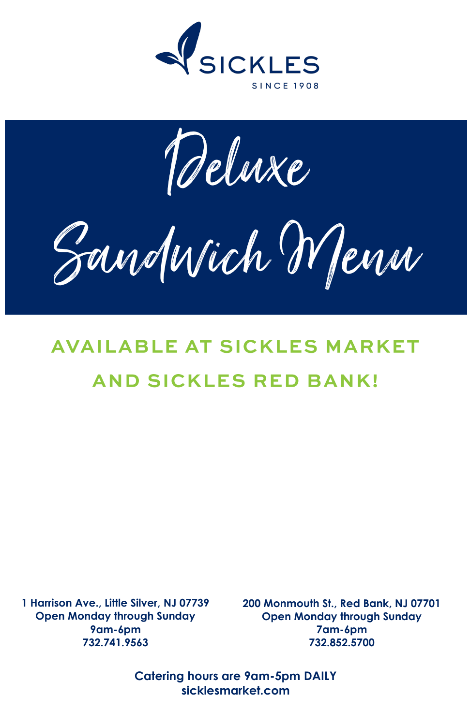

Deluxe

Zandwich Menn

# **AVAILABLE AT SICKLES MARKET AND SICKLES RED BANK!**

**1 Harrison Ave., Little Silver, NJ 07739 Open Monday through Sunday 9am-6pm 732.741.9563** 

**200 Monmouth St., Red Bank, NJ 07701 Open Monday through Sunday 7am-6pm 732.852.5700**

**Catering hours are 9am-5pm DAILY sicklesmarket.com**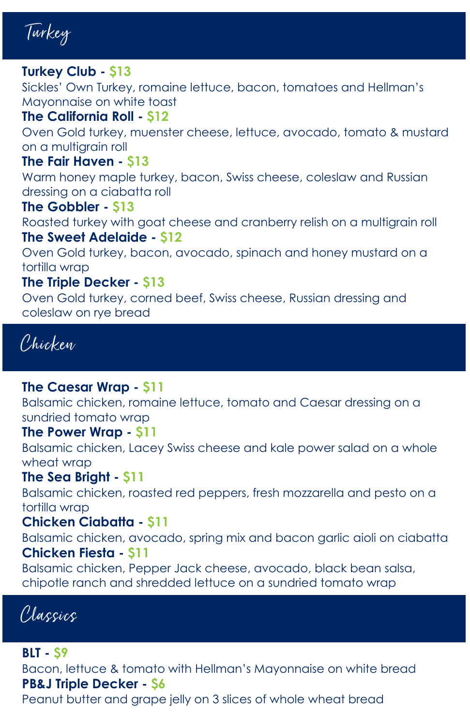Turkey

# **Turkey Club - \$13**

Sickles' Own Turkey, romaine lettuce, bacon, tomatoes and Hellman's Mayonnaise on white toast

#### **The California Roll - \$12**

Oven Gold turkey, muenster cheese, lettuce, avocado, tomato & mustard on a multigrain roll

# **The Fair Haven - \$13**

Warm honey maple turkey, bacon, Swiss cheese, coleslaw and Russian dressing on a ciabatta roll

#### **The Gobbler - \$13**

Roasted turkey with goat cheese and cranberry relish on a multigrain roll **The Sweet Adelaide - \$12**

Oven Gold turkey, bacon, avocado, spinach and honey mustard on a tortilla wrap

# **The Triple Decker - \$13**

Oven Gold turkey, corned beef, Swiss cheese, Russian dressing and coleslaw on rye bread

Chicken

# **The Caesar Wrap - \$11**

Balsamic chicken, romaine lettuce, tomato and Caesar dressing on a sundried tomato wrap

#### **The Power Wrap - \$11**

Balsamic chicken, Lacey Swiss cheese and kale power salad on a whole wheat wrap

#### **The Sea Bright - \$11**

Balsamic chicken, roasted red peppers, fresh mozzarella and pesto on a tortilla wrap

# **Chicken Ciabatta - \$11**

Balsamic chicken, avocado, spring mix and bacon garlic aioli on ciabatta **Chicken Fiesta - \$11**

Balsamic chicken, Pepper Jack cheese, avocado, black bean salsa, chipotle ranch and shredded lettuce on a sundried tomato wrap

Classics

#### **BLT - \$9**

Bacon, lettuce & tomato with Hellman's Mayonnaise on white bread **PB&J Triple Decker - \$6**

Peanut butter and grape jelly on 3 slices of whole wheat bread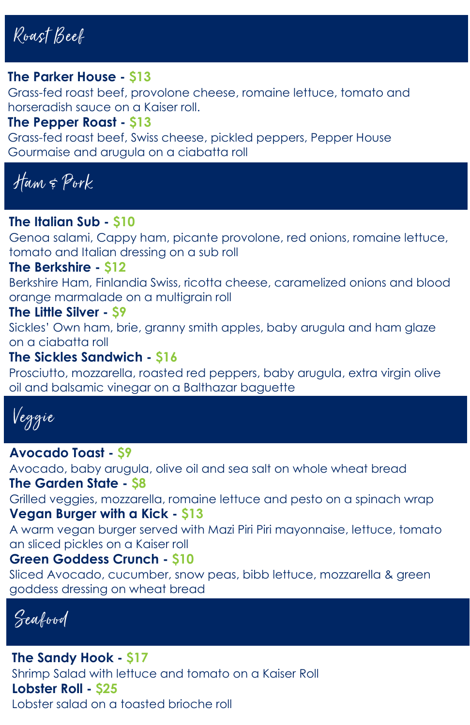Roast Beef

#### **The Parker House - \$13**

Grass-fed roast beef, provolone cheese, romaine lettuce, tomato and horseradish sauce on a Kaiser roll.

#### **The Pepper Roast - \$13**

Grass-fed roast beef, Swiss cheese, pickled peppers, Pepper House Gourmaise and arugula on a ciabatta roll

Ham & Pork

#### **The Italian Sub - \$10**

Genoa salami, Cappy ham, picante provolone, red onions, romaine lettuce, tomato and Italian dressing on a sub roll

#### **The Berkshire - \$12**

Berkshire Ham, Finlandia Swiss, ricotta cheese, caramelized onions and blood orange marmalade on a multigrain roll

#### **The Little Silver - \$9**

Sickles' Own ham, brie, granny smith apples, baby arugula and ham glaze on a ciabatta roll

#### **The Sickles Sandwich - \$16**

Prosciutto, mozzarella, roasted red peppers, baby arugula, extra virgin olive oil and balsamic vinegar on a Balthazar baguette



#### **Avocado Toast - \$9**

Avocado, baby arugula, olive oil and sea salt on whole wheat bread **The Garden State - \$8**

Grilled veggies, mozzarella, romaine lettuce and pesto on a spinach wrap **Vegan Burger with a Kick - \$13**

A warm vegan burger served with Mazi Piri Piri mayonnaise, lettuce, tomato an sliced pickles on a Kaiser roll

#### **Green Goddess Crunch - \$10**

Sliced Avocado, cucumber, snow peas, bibb lettuce, mozzarella & green goddess dressing on wheat bread

Seafood

**The Sandy Hook - \$17** Shrimp Salad with lettuce and tomato on a Kaiser Roll **Lobster Roll - \$25** Lobster salad on a toasted brioche roll